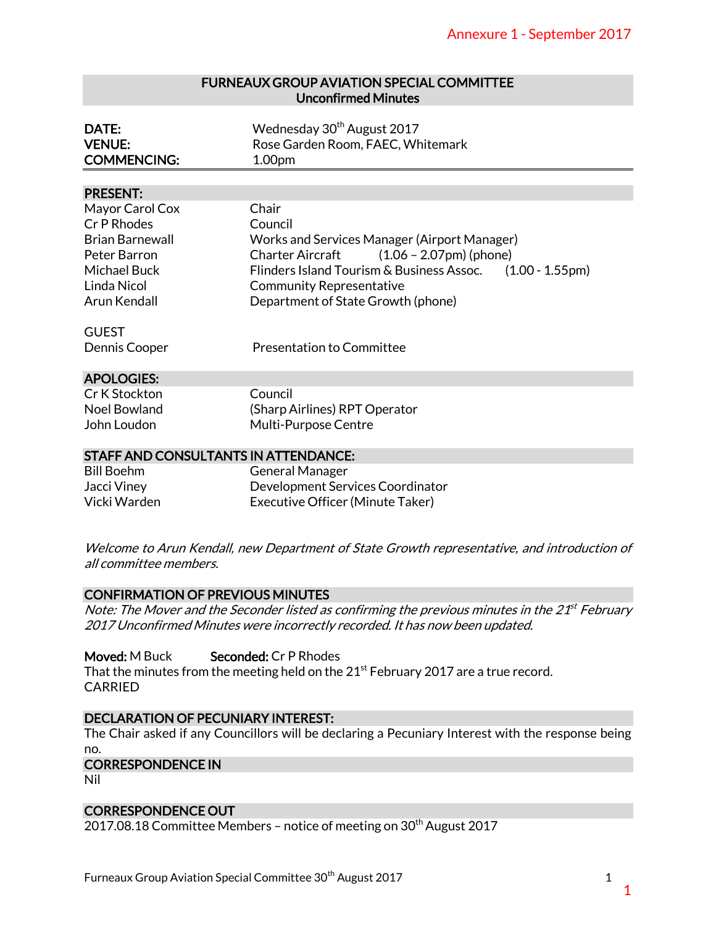# FURNEAUX GROUP AVIATION SPECIAL COMMITTEE Unconfirmed Minutes

| DATE:              | Wednesday 30 <sup>th</sup> August 2017 |
|--------------------|----------------------------------------|
| <b>VENUE:</b>      | Rose Garden Room, FAEC, Whitemark      |
| <b>COMMENCING:</b> | 1.00 <sub>pm</sub>                     |

#### PRESENT:

|                                                                        | <b>Annexure 1 - September 2017</b>                                                                          |  |
|------------------------------------------------------------------------|-------------------------------------------------------------------------------------------------------------|--|
|                                                                        | <b>FURNEAUX GROUP AVIATION SPECIAL COMMITTEE</b><br><b>Unconfirmed Minutes</b>                              |  |
| DATE:<br><b>VENUE:</b><br><b>COMMENCING:</b>                           | Wednesday 30 <sup>th</sup> August 2017<br>Rose Garden Room, FAEC, Whitemark<br>1.00pm                       |  |
|                                                                        |                                                                                                             |  |
| <b>PRESENT:</b>                                                        |                                                                                                             |  |
| Mayor Carol Cox                                                        | Chair                                                                                                       |  |
| Cr P Rhodes                                                            | Council                                                                                                     |  |
| <b>Brian Barnewall</b><br>Peter Barron                                 | Works and Services Manager (Airport Manager)<br><b>Charter Aircraft</b><br>$(1.06 - 2.07$ pm $)$ (phone)    |  |
| <b>Michael Buck</b>                                                    | Flinders Island Tourism & Business Assoc. (1.00 - 1.55pm)                                                   |  |
| Linda Nicol                                                            | <b>Community Representative</b>                                                                             |  |
| Arun Kendall                                                           | Department of State Growth (phone)                                                                          |  |
|                                                                        |                                                                                                             |  |
| <b>GUEST</b>                                                           |                                                                                                             |  |
| Dennis Cooper                                                          | <b>Presentation to Committee</b>                                                                            |  |
|                                                                        |                                                                                                             |  |
| <b>APOLOGIES:</b>                                                      |                                                                                                             |  |
| Cr K Stockton                                                          | Council                                                                                                     |  |
| <b>Noel Bowland</b><br>John Loudon                                     | (Sharp Airlines) RPT Operator<br>Multi-Purpose Centre                                                       |  |
|                                                                        |                                                                                                             |  |
| <b>STAFF AND CONSULTANTS IN ATTENDANCE:</b>                            |                                                                                                             |  |
| <b>Bill Boehm</b>                                                      | <b>General Manager</b>                                                                                      |  |
| Jacci Viney                                                            | Development Services Coordinator                                                                            |  |
| Vicki Warden                                                           | Executive Officer (Minute Taker)                                                                            |  |
|                                                                        |                                                                                                             |  |
| all committee members.                                                 | Welcome to Arun Kendall, new Department of State Growth representative, and introduction of                 |  |
| <b>CONFIRMATION OF PREVIOUS MINUTES</b>                                |                                                                                                             |  |
|                                                                        | Note: The Mover and the Seconder listed as confirming the previous minutes in the 21 <sup>st</sup> February |  |
|                                                                        | 2017 Unconfirmed Minutes were incorrectly recorded. It has now been updated.                                |  |
| Moved: M Buck                                                          | Seconded: Cr P Rhodes                                                                                       |  |
|                                                                        | That the minutes from the meeting held on the 21 <sup>st</sup> February 2017 are a true record.             |  |
| <b>CARRIED</b>                                                         |                                                                                                             |  |
|                                                                        |                                                                                                             |  |
| <b>DECLARATION OF PECUNIARY INTEREST:</b>                              |                                                                                                             |  |
|                                                                        | The Chair asked if any Councillors will be declaring a Pecuniary Interest with the response being           |  |
| no.                                                                    |                                                                                                             |  |
| <b>CORRESPONDENCE IN</b><br>Nil                                        |                                                                                                             |  |
|                                                                        |                                                                                                             |  |
| <b>CORRESPONDENCE OUT</b>                                              |                                                                                                             |  |
|                                                                        | 2017.08.18 Committee Members - notice of meeting on 30 <sup>th</sup> August 2017                            |  |
|                                                                        |                                                                                                             |  |
|                                                                        |                                                                                                             |  |
| Furneaux Group Aviation Special Committee 30 <sup>th</sup> August 2017 | 1                                                                                                           |  |
|                                                                        |                                                                                                             |  |

| Cr K Stockton |  |  |
|---------------|--|--|
| Noel Bowland  |  |  |
| lohn Loudon   |  |  |

#### STAFF AND CONSULTANTS IN ATTENDANCE:

| Bill Boehm   | <b>General Manager</b>           |
|--------------|----------------------------------|
| Jacci Viney  | Development Services Coordinator |
| Vicki Warden | Executive Officer (Minute Taker) |

# CONFIRMATION OF PREVIOUS MINUTES

# DECLARATION OF PECUNIARY INTEREST:

#### CORRESPONDENCE OUT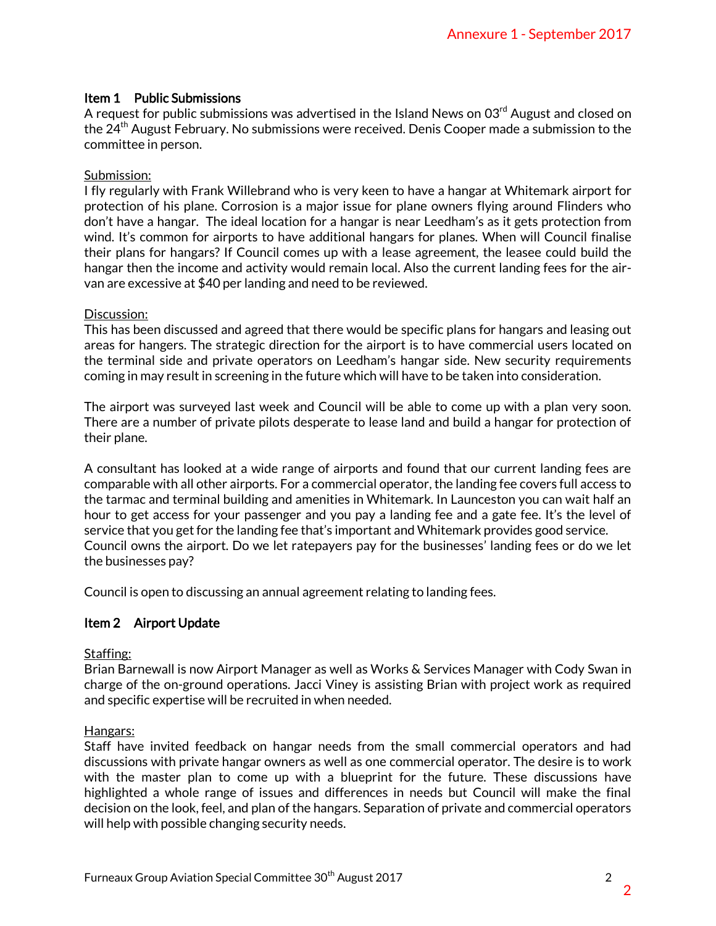# Item 1 Public Submissions

A request for public submissions was advertised in the Island News on  $03<sup>rd</sup>$  August and closed on the 24<sup>th</sup> August February. No submissions were received. Denis Cooper made a submission to the committee in person.

## Submission:

I fly regularly with Frank Willebrand who is very keen to have a hangar at Whitemark airport for protection of his plane. Corrosion is a major issue for plane owners flying around Flinders who don't have a hangar. The ideal location for a hangar is near Leedham's as it gets protection from wind. It's common for airports to have additional hangars for planes. When will Council finalise their plans for hangars? If Council comes up with a lease agreement, the leasee could build the hangar then the income and activity would remain local. Also the current landing fees for the airvan are excessive at \$40 per landing and need to be reviewed.

### Discussion:

This has been discussed and agreed that there would be specific plans for hangars and leasing out areas for hangers. The strategic direction for the airport is to have commercial users located on the terminal side and private operators on Leedham's hangar side. New security requirements coming in may result in screening in the future which will have to be taken into consideration.

The airport was surveyed last week and Council will be able to come up with a plan very soon. There are a number of private pilots desperate to lease land and build a hangar for protection of their plane.

A consultant has looked at a wide range of airports and found that our current landing fees are comparable with all other airports. For a commercial operator, the landing fee covers full access to the tarmac and terminal building and amenities in Whitemark. In Launceston you can wait half an hour to get access for your passenger and you pay a landing fee and a gate fee. It's the level of service that you get for the landing fee that's important and Whitemark provides good service. Council owns the airport. Do we let ratepayers pay for the businesses' landing fees or do we let the businesses pay? Annexure 1 - September 2017<br>
wws on 03<sup>rd</sup> August and closed on<br>
Cooper made a submission to the<br>
cooper made a submission to the<br>
hangar at Whitemark airport for<br>
thama's as it gets protection from<br>
lanes. When will Coun

Council is open to discussing an annual agreement relating to landing fees.

# Item 2 Airport Update

# Staffing:

Brian Barnewall is now Airport Manager as well as Works & Services Manager with Cody Swan in charge of the on-ground operations. Jacci Viney is assisting Brian with project work as required and specific expertise will be recruited in when needed.

#### Hangars:

Staff have invited feedback on hangar needs from the small commercial operators and had discussions with private hangar owners as well as one commercial operator. The desire is to work with the master plan to come up with a blueprint for the future. These discussions have highlighted a whole range of issues and differences in needs but Council will make the final decision on the look, feel, and plan of the hangars. Separation of private and commercial operators will help with possible changing security needs.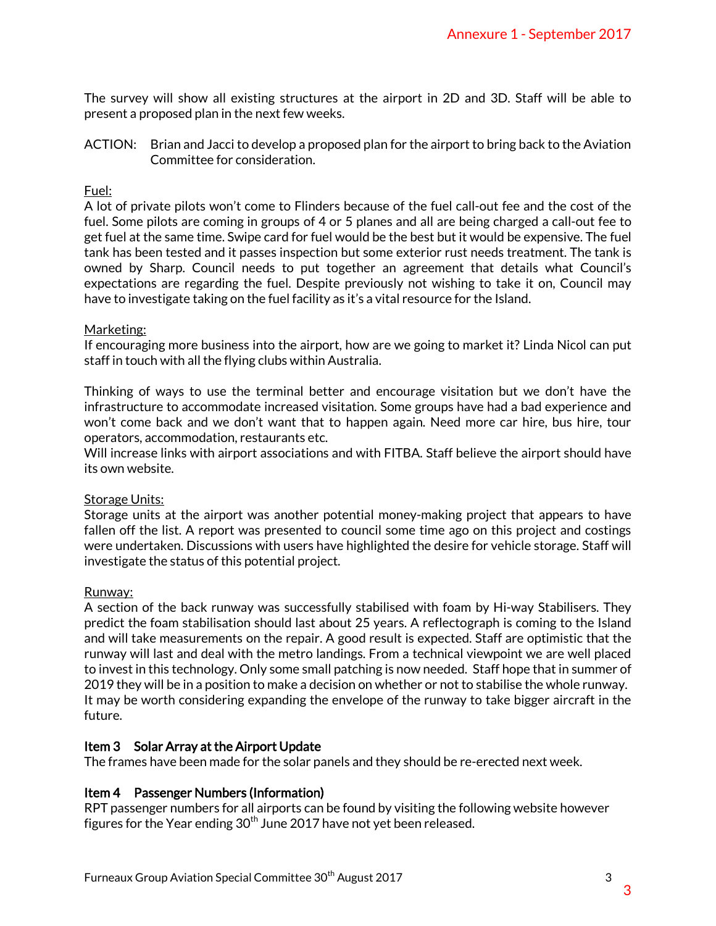The survey will show all existing structures at the airport in 2D and 3D. Staff will be able to present a proposed plan in the next few weeks.

ACTION: Brian and Jacci to develop a proposed plan for the airport to bring back to the Aviation Committee for consideration.

## Fuel:

A lot of private pilots won't come to Flinders because of the fuel call-out fee and the cost of the fuel. Some pilots are coming in groups of 4 or 5 planes and all are being charged a call-out fee to get fuel at the same time. Swipe card for fuel would be the best but it would be expensive. The fuel tank has been tested and it passes inspection but some exterior rust needs treatment. The tank is owned by Sharp. Council needs to put together an agreement that details what Council's expectations are regarding the fuel. Despite previously not wishing to take it on, Council may have to investigate taking on the fuel facility as it's a vital resource for the Island.

#### Marketing:

If encouraging more business into the airport, how are we going to market it? Linda Nicol can put staff in touch with all the flying clubs within Australia.

Thinking of ways to use the terminal better and encourage visitation but we don't have the infrastructure to accommodate increased visitation. Some groups have had a bad experience and won't come back and we don't want that to happen again. Need more car hire, bus hire, tour operators, accommodation, restaurants etc.

Will increase links with airport associations and with FITBA. Staff believe the airport should have its own website.

#### Storage Units:

Storage units at the airport was another potential money-making project that appears to have fallen off the list. A report was presented to council some time ago on this project and costings were undertaken. Discussions with users have highlighted the desire for vehicle storage. Staff will investigate the status of this potential project.

#### Runway:

A section of the back runway was successfully stabilised with foam by Hi-way Stabilisers. They predict the foam stabilisation should last about 25 years. A reflectograph is coming to the Island and will take measurements on the repair. A good result is expected. Staff are optimistic that the runway will last and deal with the metro landings. From a technical viewpoint we are well placed to invest in this technology. Only some small patching is now needed. Staff hope that in summer of 2019 they will be in a position to make a decision on whether or not to stabilise the whole runway. It may be worth considering expanding the envelope of the runway to take bigger aircraft in the future. Annexure 1 - September 2017<br>2D and 3D. Staff will be able to<br>2D and 3D. Staff will be able to<br>port to bring back to the Aviation<br>1 call-out fee and the cost of the<br>1 call-out fee and the cost of the<br>1 call-out fee and the

# Item 3 Solar Array at the Airport Update

The frames have been made for the solar panels and they should be re-erected next week.

#### Item 4 Passenger Numbers (Information)

RPT passenger numbers for all airports can be found by visiting the following website however figures for the Year ending  $30<sup>th</sup>$  June 2017 have not yet been released.